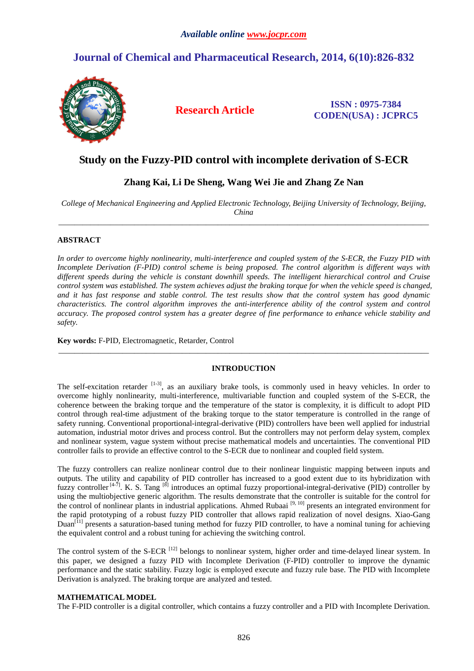# **Journal of Chemical and Pharmaceutical Research, 2014, 6(10):826-832**



**Research Article ISSN : 0975-7384 CODEN(USA) : JCPRC5**

## **Study on the Fuzzy-PID control with incomplete derivation of S-ECR**

## **Zhang Kai, Li De Sheng, Wang Wei Jie and Zhang Ze Nan**

*College of Mechanical Engineering and Applied Electronic Technology, Beijing University of Technology, Beijing, China*  \_\_\_\_\_\_\_\_\_\_\_\_\_\_\_\_\_\_\_\_\_\_\_\_\_\_\_\_\_\_\_\_\_\_\_\_\_\_\_\_\_\_\_\_\_\_\_\_\_\_\_\_\_\_\_\_\_\_\_\_\_\_\_\_\_\_\_\_\_\_\_\_\_\_\_\_\_\_\_\_\_\_\_\_\_\_\_\_\_\_\_\_\_

## **ABSTRACT**

*In order to overcome highly nonlinearity, multi-interference and coupled system of the S-ECR, the Fuzzy PID with Incomplete Derivation (F-PID) control scheme is being proposed. The control algorithm is different ways with different speeds during the vehicle is constant downhill speeds. The intelligent hierarchical control and Cruise control system was established. The system achieves adjust the braking torque for when the vehicle speed is changed, and it has fast response and stable control. The test results show that the control system has good dynamic characteristics. The control algorithm improves the anti-interference ability of the control system and control accuracy. The proposed control system has a greater degree of fine performance to enhance vehicle stability and safety.* 

**Key words:** F-PID, Electromagnetic, Retarder, Control

## **INTRODUCTION**

\_\_\_\_\_\_\_\_\_\_\_\_\_\_\_\_\_\_\_\_\_\_\_\_\_\_\_\_\_\_\_\_\_\_\_\_\_\_\_\_\_\_\_\_\_\_\_\_\_\_\_\_\_\_\_\_\_\_\_\_\_\_\_\_\_\_\_\_\_\_\_\_\_\_\_\_\_\_\_\_\_\_\_\_\_\_\_\_\_\_\_\_\_

The self-excitation retarder  $[1-3]$ , as an auxiliary brake tools, is commonly used in heavy vehicles. In order to overcome highly nonlinearity, multi-interference, multivariable function and coupled system of the S-ECR, the coherence between the braking torque and the temperature of the stator is complexity, it is difficult to adopt PID control through real-time adjustment of the braking torque to the stator temperature is controlled in the range of safety running. Conventional proportional-integral-derivative (PID) controllers have been well applied for industrial automation, industrial motor drives and process control. But the controllers may not perform delay system, complex and nonlinear system, vague system without precise mathematical models and uncertainties. The conventional PID controller fails to provide an effective control to the S-ECR due to nonlinear and coupled field system.

The fuzzy controllers can realize nonlinear control due to their nonlinear linguistic mapping between inputs and outputs. The utility and capability of PID controller has increased to a good extent due to its hybridization with fuzzy controller  $[4-7]$ . K. S. Tang  $[8]$  introduces an optimal fuzzy proportional-integral-derivative (PID) controller by using the multiobjective generic algorithm. The results demonstrate that the controller is suitable for the control for the control of nonlinear plants in industrial applications. Ahmed Rubaai [9, 10] presents an integrated environment for the rapid prototyping of a robust fuzzy PID controller that allows rapid realization of novel designs. Xiao-Gang Duan<sup>[11]</sup> presents a saturation-based tuning method for fuzzy PID controller, to have a nominal tuning for achieving the equivalent control and a robust tuning for achieving the switching control.

The control system of the S-ECR <sup>[12]</sup> belongs to nonlinear system, higher order and time-delayed linear system. In this paper, we designed a fuzzy PID with Incomplete Derivation (F-PID) controller to improve the dynamic performance and the static stability. Fuzzy logic is employed execute and fuzzy rule base. The PID with Incomplete Derivation is analyzed. The braking torque are analyzed and tested.

## **MATHEMATICAL MODEL**

The F-PID controller is a digital controller, which contains a fuzzy controller and a PID with Incomplete Derivation.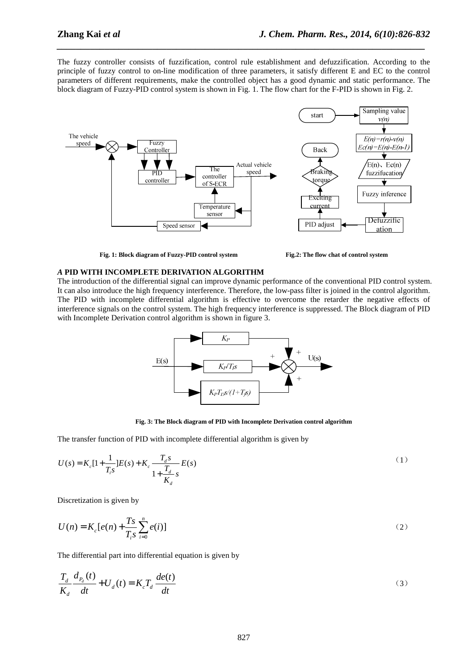The fuzzy controller consists of fuzzification, control rule establishment and defuzzification. According to the principle of fuzzy control to on-line modification of three parameters, it satisfy different E and EC to the control parameters of different requirements, make the controlled object has a good dynamic and static performance. The block diagram of Fuzzy-PID control system is shown in Fig. 1. The flow chart for the F-PID is shown in Fig. 2.

*\_\_\_\_\_\_\_\_\_\_\_\_\_\_\_\_\_\_\_\_\_\_\_\_\_\_\_\_\_\_\_\_\_\_\_\_\_\_\_\_\_\_\_\_\_\_\_\_\_\_\_\_\_\_\_\_\_\_\_\_\_\_\_\_\_\_\_\_\_\_\_\_\_\_\_\_\_*



**Fig. 1: Block diagram of Fuzzy-PID control system Fig.2: The flow chat of control system**



#### *A* **PID WITH INCOMPLETE DERIVATION ALGORITHM**

The introduction of the differential signal can improve dynamic performance of the conventional PID control system. It can also introduce the high frequency interference. Therefore, the low-pass filter is joined in the control algorithm. The PID with incomplete differential algorithm is effective to overcome the retarder the negative effects of interference signals on the control system. The high frequency interference is suppressed. The Block diagram of PID with Incomplete Derivation control algorithm is shown in figure 3.



**Fig. 3: The Block diagram of PID with Incomplete Derivation control algorithm** 

The transfer function of PID with incomplete differential algorithm is given by

$$
U(s) = K_c[1 + \frac{1}{T_i s}]E(s) + K_c \frac{T_d s}{1 + \frac{T_d}{K_d} s}E(s)
$$
\n(1)

Discretization is given by

$$
U(n) = K_c[e(n) + \frac{Ts}{T_i s} \sum_{i=0}^{n} e(i)]
$$
 (2)

The differential part into differential equation is given by

$$
\frac{T_d}{K_d} \frac{d_{P_d}(t)}{dt} + U_d(t) = K_c T_d \frac{de(t)}{dt}
$$
\n(3)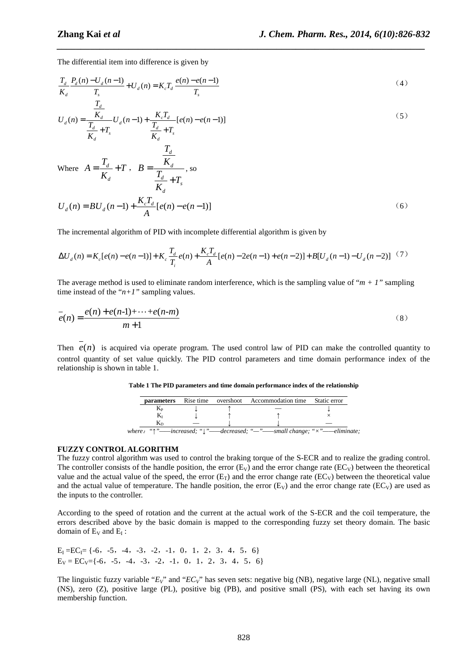The differential item into difference is given by

$$
\frac{T_d}{K_d} \frac{P_d(n) - U_d(n-1)}{T_s} + U_d(n) = K_c T_d \frac{e(n) - e(n-1)}{T_s}
$$
\n(4)

*\_\_\_\_\_\_\_\_\_\_\_\_\_\_\_\_\_\_\_\_\_\_\_\_\_\_\_\_\_\_\_\_\_\_\_\_\_\_\_\_\_\_\_\_\_\_\_\_\_\_\_\_\_\_\_\_\_\_\_\_\_\_\_\_\_\_\_\_\_\_\_\_\_\_\_\_\_*

$$
U_{d}(n) = \frac{\frac{I_{d}}{K_{d}}}{\frac{T_{d}}{K_{d}} + T_{s}} U_{d}(n-1) + \frac{K_{c}T_{d}}{\frac{T_{d}}{K_{d}} + T_{s}} [e(n) - e(n-1)]
$$
\n(5)

Where 
$$
A = \frac{T_d}{K_d} + T
$$
,  $B = \frac{\overline{K_d}}{\frac{T_d}{K_d} + T_s}$ , so

$$
U_{d}(n) = BU_{d}(n-1) + \frac{K_{c}T_{d}}{A} [e(n) - e(n-1)]
$$
\n(6)

The incremental algorithm of PID with incomplete differential algorithm is given by

$$
\Delta U_d(n) = K_c[e(n) - e(n-1)] + K_c \frac{T_d}{T_i} e(n) + \frac{K_c T_d}{A} [e(n) - 2e(n-1) + e(n-2)] + B[U_d(n-1) - U_d(n-2)] \tag{7}
$$

The average method is used to eliminate random interference, which is the sampling value of " $m + 1$ " sampling time instead of the " $n+1$ " sampling values.

$$
e(n) = \frac{e(n) + e(n-1) + \dots + e(n-m)}{m+1}
$$
 (8)

Then  $e(n)$  is acquired via operate program. The used control law of PID can make the controlled quantity to control quantity of set value quickly. The PID control parameters and time domain performance index of the relationship is shown in table 1.

| <b>parameters</b> |  | Rise time overshoot Accommodation time Static error                                                     |  |  |
|-------------------|--|---------------------------------------------------------------------------------------------------------|--|--|
|                   |  |                                                                                                         |  |  |
|                   |  |                                                                                                         |  |  |
| Kв                |  |                                                                                                         |  |  |
|                   |  | where: " $\uparrow$ "—increased; " $\downarrow$ "—decreased; "--"—small change; " $\times$ "—eliminate, |  |  |

**Table 1 The PID parameters and time domain performance index of the relationship** 

#### **FUZZY CONTROL ALGORITHM**

The fuzzy control algorithm was used to control the braking torque of the S-ECR and to realize the grading control. The controller consists of the handle position, the error  $(E_V)$  and the error change rate  $(EC_V)$  between the theoretical value and the actual value of the speed, the error ( $E<sub>r</sub>$ ) and the error change rate ( $EC<sub>V</sub>$ ) between the theoretical value and the actual value of temperature. The handle position, the error  $(E_V)$  and the error change rate ( $EC_V$ ) are used as the inputs to the controller.

According to the speed of rotation and the current at the actual work of the S-ECR and the coil temperature, the errors described above by the basic domain is mapped to the corresponding fuzzy set theory domain. The basic domain of  $E_V$  and  $E_I$ :

 $E_I = EC_I = \{-6, -5, -4, -3, -2, -1, 0, 1, 2, 3, 4, 5, 6\}$  $E_V = EC_V = \{-6, -5, -4, -3, -2, -1, 0, 1, 2, 3, 4, 5, 6\}$ 

The linguistic fuzzy variable " $E_V$ " and " $EC_V$ " has seven sets: negative big (NB), negative large (NL), negative small (NS), zero (Z), positive large (PL), positive big (PB), and positive small (PS), with each set having its own membership function.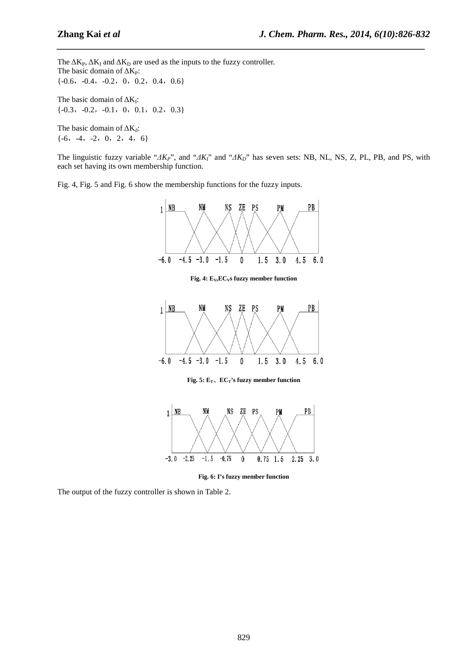The  $\Delta K_P$ ,  $\Delta K_I$  and  $\Delta K_D$  are used as the inputs to the fuzzy controller. The basic domain of  $\Delta K_P$ :  $\{-0.6, -0.4, -0.2, 0, 0.2, 0.4, 0.6\}$ The basic domain of  $\Delta K_I$ :  $\{-0.3, -0.2, -0.1, 0, 0.1, 0.2, 0.3\}$ 

The basic domain of  $\Delta K_d$ :  $\{-6, -4, -2, 0, 2, 4, 6\}$ 

The linguistic fuzzy variable "*∆KP*", and "*∆KI*" and "*∆KD*" has seven sets: NB, NL, NS, Z, PL, PB, and PS, with each set having its own membership function.

*\_\_\_\_\_\_\_\_\_\_\_\_\_\_\_\_\_\_\_\_\_\_\_\_\_\_\_\_\_\_\_\_\_\_\_\_\_\_\_\_\_\_\_\_\_\_\_\_\_\_\_\_\_\_\_\_\_\_\_\_\_\_\_\_\_\_\_\_\_\_\_\_\_\_\_\_\_*

Fig. 4, Fig. 5 and Fig. 6 show the membership functions for the fuzzy inputs.



**Fig. 6: I's fuzzy member function** 

The output of the fuzzy controller is shown in Table 2.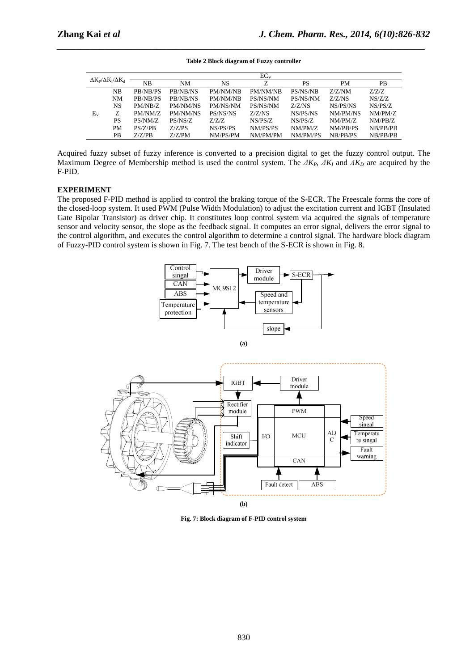| $\Delta K_P / \Delta K_I / \Delta K_d$ |           |          |          |          | EC <sub>v</sub> |           |           |           |
|----------------------------------------|-----------|----------|----------|----------|-----------------|-----------|-----------|-----------|
|                                        |           | NB       | NM       | NS       | Z               | <b>PS</b> | <b>PM</b> | <b>PB</b> |
| $E_{V}$                                | <b>NB</b> | PB/NB/PS | PB/NB/NS | PM/NM/NR | PM/NM/NB        | PS/NS/NB  | Z/Z/NM    | Z/Z/Z     |
|                                        | <b>NM</b> | PB/NB/PS | PB/NB/NS | PM/NM/NB | PS/NS/NM        | PS/NS/NM  | Z/Z/NS    | NS/Z/Z    |
|                                        | <b>NS</b> | PM/NB/Z  | PM/NM/NS | PM/NS/NM | PS/NS/NM        | Z/Z/NS    | NS/PS/NS  | NS/PS/Z   |
|                                        | Z         | PM/NM/Z  | PM/NM/NS | PS/NS/NS | Z/Z/NS          | NS/PS/NS  | NM/PM/NS  | NM/PM/Z   |
|                                        | <b>PS</b> | PS/NM/Z  | PS/NS/Z  | Z/Z/Z    | NS/PS/Z         | NS/PS/Z   | NM/PM/Z   | NM/PB/Z   |
|                                        | <b>PM</b> | PS/Z/PB  | Z/Z/PS   | NS/PS/PS | NM/PS/PS        | NM/PM/Z   | NM/PB/PS  | NB/PB/PB  |
|                                        | <b>PB</b> | Z/Z/PB   | Z/Z/PM   | NM/PS/PM | NM/PM/PM        | NM/PM/PS  | NB/PB/PS  | NB/PB/PB  |

**Table 2 Block diagram of Fuzzy controller** 

*\_\_\_\_\_\_\_\_\_\_\_\_\_\_\_\_\_\_\_\_\_\_\_\_\_\_\_\_\_\_\_\_\_\_\_\_\_\_\_\_\_\_\_\_\_\_\_\_\_\_\_\_\_\_\_\_\_\_\_\_\_\_\_\_\_\_\_\_\_\_\_\_\_\_\_\_\_*

Acquired fuzzy subset of fuzzy inference is converted to a precision digital to get the fuzzy control output. The Maximum Degree of Membership method is used the control system. The  $\Delta K_P$ ,  $\Delta K_I$  and  $\Delta K_D$  are acquired by the F-PID.

## **EXPERIMENT**

The proposed F-PID method is applied to control the braking torque of the S-ECR. The Freescale forms the core of the closed-loop system. It used PWM (Pulse Width Modulation) to adjust the excitation current and IGBT (Insulated Gate Bipolar Transistor) as driver chip. It constitutes loop control system via acquired the signals of temperature sensor and velocity sensor, the slope as the feedback signal. It computes an error signal, delivers the error signal to the control algorithm, and executes the control algorithm to determine a control signal. The hardware block diagram of Fuzzy-PID control system is shown in Fig. 7. The test bench of the S-ECR is shown in Fig. 8.





**Fig. 7: Block diagram of F-PID control system**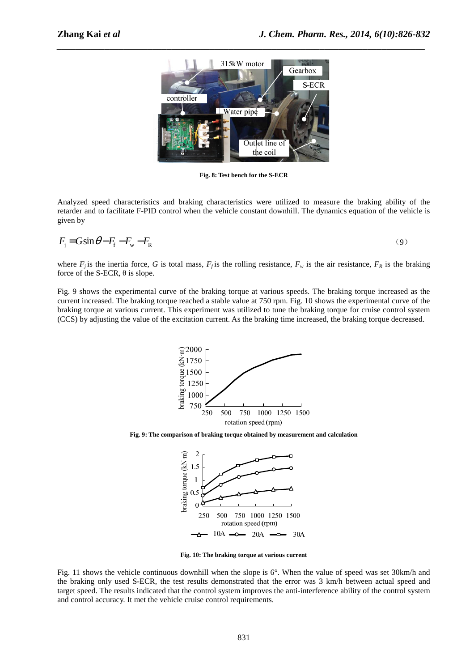

*\_\_\_\_\_\_\_\_\_\_\_\_\_\_\_\_\_\_\_\_\_\_\_\_\_\_\_\_\_\_\_\_\_\_\_\_\_\_\_\_\_\_\_\_\_\_\_\_\_\_\_\_\_\_\_\_\_\_\_\_\_\_\_\_\_\_\_\_\_\_\_\_\_\_\_\_\_*

**Fig. 8: Test bench for the S-ECR** 

Analyzed speed characteristics and braking characteristics were utilized to measure the braking ability of the retarder and to facilitate F-PID control when the vehicle constant downhill. The dynamics equation of the vehicle is given by

$$
F_{\rm j} = G \sin \theta - F_{\rm f} - F_{\rm w} - F_{\rm R} \tag{9}
$$

where  $F_j$  is the inertia force, *G* is total mass,  $F_j$  is the rolling resistance,  $F_w$  is the air resistance,  $F_R$  is the braking force of the S-ECR,  $\theta$  is slope.

Fig. 9 shows the experimental curve of the braking torque at various speeds. The braking torque increased as the current increased. The braking torque reached a stable value at 750 rpm. Fig. 10 shows the experimental curve of the braking torque at various current. This experiment was utilized to tune the braking torque for cruise control system (CCS) by adjusting the value of the excitation current. As the braking time increased, the braking torque decreased.



**Fig. 9: The comparison of braking torque obtained by measurement and calculation** 



**Fig. 10: The braking torque at various current** 

Fig. 11 shows the vehicle continuous downhill when the slope is 6°. When the value of speed was set 30km/h and the braking only used S-ECR, the test results demonstrated that the error was 3 km/h between actual speed and target speed. The results indicated that the control system improves the anti-interference ability of the control system and control accuracy. It met the vehicle cruise control requirements.